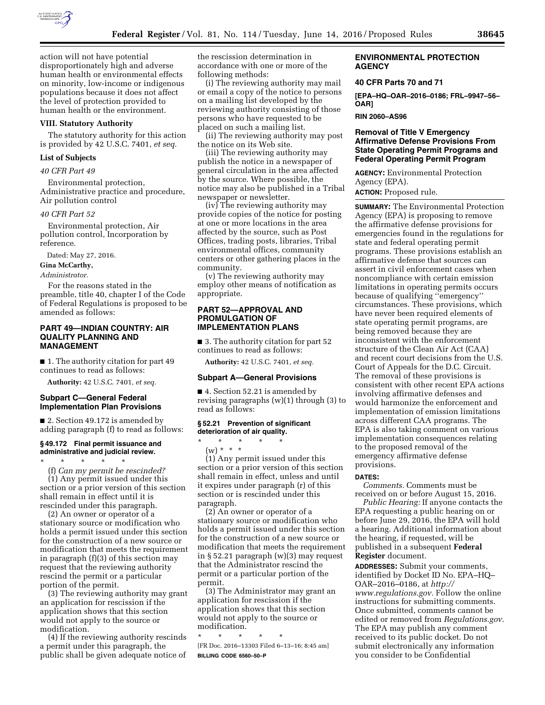

action will not have potential disproportionately high and adverse human health or environmental effects on minority, low-income or indigenous populations because it does not affect the level of protection provided to human health or the environment.

#### **VIII. Statutory Authority**

The statutory authority for this action is provided by 42 U.S.C. 7401, *et seq.* 

#### **List of Subjects**

*40 CFR Part 49* 

Environmental protection, Administrative practice and procedure, Air pollution control

#### *40 CFR Part 52*

Environmental protection, Air pollution control, Incorporation by reference.

Dated: May 27, 2016.

**Gina McCarthy,** 

#### *Administrator.*

For the reasons stated in the preamble, title 40, chapter I of the Code of Federal Regulations is proposed to be amended as follows:

## **PART 49—INDIAN COUNTRY: AIR QUALITY PLANNING AND MANAGEMENT**

■ 1. The authority citation for part 49 continues to read as follows:

**Authority:** 42 U.S.C. 7401, *et seq.* 

## **Subpart C—General Federal Implementation Plan Provisions**

■ 2. Section 49.172 is amended by adding paragraph (f) to read as follows:

## **§ 49.172 Final permit issuance and administrative and judicial review.**

\* \* \* \* \* (f) *Can my permit be rescinded?*  (1) Any permit issued under this

section or a prior version of this section shall remain in effect until it is rescinded under this paragraph.

(2) An owner or operator of a stationary source or modification who holds a permit issued under this section for the construction of a new source or modification that meets the requirement in paragraph (f)(3) of this section may request that the reviewing authority rescind the permit or a particular portion of the permit.

(3) The reviewing authority may grant an application for rescission if the application shows that this section would not apply to the source or modification.

(4) If the reviewing authority rescinds a permit under this paragraph, the public shall be given adequate notice of the rescission determination in accordance with one or more of the following methods:

(i) The reviewing authority may mail or email a copy of the notice to persons on a mailing list developed by the reviewing authority consisting of those persons who have requested to be placed on such a mailing list.

(ii) The reviewing authority may post the notice on its Web site.

(iii) The reviewing authority may publish the notice in a newspaper of general circulation in the area affected by the source. Where possible, the notice may also be published in a Tribal newspaper or newsletter.

(iv) The reviewing authority may provide copies of the notice for posting at one or more locations in the area affected by the source, such as Post Offices, trading posts, libraries, Tribal environmental offices, community centers or other gathering places in the community.

(v) The reviewing authority may employ other means of notification as appropriate.

#### **PART 52—APPROVAL AND PROMULGATION OF IMPLEMENTATION PLANS**

■ 3. The authority citation for part 52 continues to read as follows:

**Authority:** 42 U.S.C. 7401, *et seq.* 

#### **Subpart A—General Provisions**

■ 4. Section 52.21 is amended by revising paragraphs (w)(1) through (3) to read as follows:

#### **§ 52.21 Prevention of significant deterioration of air quality.**

- \* \* \* \* \*
- (w) \* \* \*

(1) Any permit issued under this section or a prior version of this section shall remain in effect, unless and until it expires under paragraph (r) of this section or is rescinded under this paragraph.

(2) An owner or operator of a stationary source or modification who holds a permit issued under this section for the construction of a new source or modification that meets the requirement in § 52.21 paragraph (w)(3) may request that the Administrator rescind the permit or a particular portion of the permit.

(3) The Administrator may grant an application for rescission if the application shows that this section would not apply to the source or modification.

\* \* \* \* \* [FR Doc. 2016–13303 Filed 6–13–16; 8:45 am] **BILLING CODE 6560–50–P** 

## **ENVIRONMENTAL PROTECTION AGENCY**

#### **40 CFR Parts 70 and 71**

**[EPA–HQ–OAR–2016–0186; FRL–9947–56– OAR]** 

#### **RIN 2060–AS96**

## **Removal of Title V Emergency Affirmative Defense Provisions From State Operating Permit Programs and Federal Operating Permit Program**

**AGENCY:** Environmental Protection Agency (EPA). **ACTION:** Proposed rule.

**SUMMARY:** The Environmental Protection Agency (EPA) is proposing to remove the affirmative defense provisions for emergencies found in the regulations for state and federal operating permit programs. These provisions establish an affirmative defense that sources can assert in civil enforcement cases when noncompliance with certain emission limitations in operating permits occurs because of qualifying ''emergency'' circumstances. These provisions, which have never been required elements of state operating permit programs, are being removed because they are inconsistent with the enforcement structure of the Clean Air Act (CAA) and recent court decisions from the U.S. Court of Appeals for the D.C. Circuit. The removal of these provisions is consistent with other recent EPA actions involving affirmative defenses and would harmonize the enforcement and implementation of emission limitations across different CAA programs. The EPA is also taking comment on various implementation consequences relating to the proposed removal of the emergency affirmative defense provisions.

#### **DATES:**

*Comments.* Comments must be received on or before August 15, 2016.

*Public Hearing:* If anyone contacts the EPA requesting a public hearing on or before June 29, 2016, the EPA will hold a hearing. Additional information about the hearing, if requested, will be published in a subsequent **Federal Register** document.

**ADDRESSES:** Submit your comments, identified by Docket ID No. EPA–HQ– OAR–2016–0186, at *[http://](http://www.regulations.gov) [www.regulations.gov.](http://www.regulations.gov)* Follow the online instructions for submitting comments. Once submitted, comments cannot be edited or removed from *Regulations.gov*. The EPA may publish any comment received to its public docket. Do not submit electronically any information you consider to be Confidential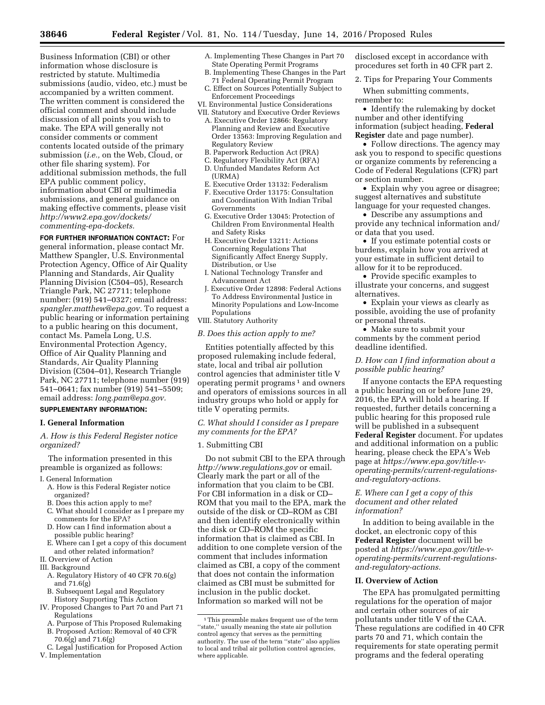Business Information (CBI) or other information whose disclosure is restricted by statute. Multimedia submissions (audio, video, etc.) must be accompanied by a written comment. The written comment is considered the official comment and should include discussion of all points you wish to make. The EPA will generally not consider comments or comment contents located outside of the primary submission (*i.e.,* on the Web, Cloud, or other file sharing system). For additional submission methods, the full EPA public comment policy, information about CBI or multimedia submissions, and general guidance on making effective comments, please visit *[http://www2.epa.gov/dockets/](http://www2.epa.gov/dockets/commenting-epa-dockets) [commenting-epa-dockets.](http://www2.epa.gov/dockets/commenting-epa-dockets)* 

**FOR FURTHER INFORMATION CONTACT:** For general information, please contact Mr. Matthew Spangler, U.S. Environmental Protection Agency, Office of Air Quality Planning and Standards, Air Quality Planning Division (C504–05), Research Triangle Park, NC 27711; telephone number: (919) 541–0327; email address: *[spangler.matthew@epa.gov.](mailto:spangler.matthew@epa.gov)* To request a public hearing or information pertaining to a public hearing on this document, contact Ms. Pamela Long, U.S. Environmental Protection Agency, Office of Air Quality Planning and Standards, Air Quality Planning Division (C504–01), Research Triangle Park, NC 27711; telephone number (919) 541–0641; fax number (919) 541–5509; email address: *[long.pam@epa.gov.](mailto:long.pam@epa.gov)* 

# **SUPPLEMENTARY INFORMATION:**

#### **I. General Information**

*A. How is this Federal Register notice organized?* 

The information presented in this preamble is organized as follows:

- I. General Information
	- A. How is this Federal Register notice organized?
	- B. Does this action apply to me?
	- C. What should I consider as I prepare my comments for the EPA?
	- D. How can I find information about a possible public hearing?
	- E. Where can I get a copy of this document and other related information?
- II. Overview of Action
- III. Background
	- A. Regulatory History of 40 CFR 70.6(g) and 71.6(g)
	- B. Subsequent Legal and Regulatory History Supporting This Action
- IV. Proposed Changes to Part 70 and Part 71 Regulations
	- A. Purpose of This Proposed Rulemaking
	- B. Proposed Action: Removal of 40 CFR 70.6(g) and 71.6(g)
	- C. Legal Justification for Proposed Action
- V. Implementation
- A. Implementing These Changes in Part 70 State Operating Permit Programs
- B. Implementing These Changes in the Part 71 Federal Operating Permit Program
- C. Effect on Sources Potentially Subject to Enforcement Proceedings
- VI. Environmental Justice Considerations VII. Statutory and Executive Order Reviews
- A. Executive Order 12866: Regulatory Planning and Review and Executive Order 13563: Improving Regulation and Regulatory Review
- B. Paperwork Reduction Act (PRA)
- C. Regulatory Flexibility Act (RFA)
- D. Unfunded Mandates Reform Act (URMA)
- E. Executive Order 13132: Federalism
- F. Executive Order 13175: Consultation and Coordination With Indian Tribal Governments
- G. Executive Order 13045: Protection of Children From Environmental Health and Safety Risks
- H. Executive Order 13211: Actions Concerning Regulations That Significantly Affect Energy Supply, Distribution, or Use
- I. National Technology Transfer and Advancement Act
- J. Executive Order 12898: Federal Actions To Address Environmental Justice in Minority Populations and Low-Income Populations
- VIII. Statutory Authority

#### *B. Does this action apply to me?*

Entities potentially affected by this proposed rulemaking include federal, state, local and tribal air pollution control agencies that administer title V operating permit programs<sup>1</sup> and owners and operators of emissions sources in all industry groups who hold or apply for title V operating permits.

*C. What should I consider as I prepare my comments for the EPA?* 

#### 1. Submitting CBI

Do not submit CBI to the EPA through *<http://www.regulations.gov>* or email. Clearly mark the part or all of the information that you claim to be CBI. For CBI information in a disk or CD– ROM that you mail to the EPA, mark the outside of the disk or CD–ROM as CBI and then identify electronically within the disk or CD–ROM the specific information that is claimed as CBI. In addition to one complete version of the comment that includes information claimed as CBI, a copy of the comment that does not contain the information claimed as CBI must be submitted for inclusion in the public docket. Information so marked will not be

disclosed except in accordance with procedures set forth in 40 CFR part 2.

2. Tips for Preparing Your Comments

When submitting comments, remember to:

• Identify the rulemaking by docket number and other identifying information (subject heading, **Federal Register** date and page number).

• Follow directions. The agency may ask you to respond to specific questions or organize comments by referencing a Code of Federal Regulations (CFR) part or section number.

• Explain why you agree or disagree; suggest alternatives and substitute language for your requested changes.

• Describe any assumptions and provide any technical information and/ or data that you used.

• If you estimate potential costs or burdens, explain how you arrived at your estimate in sufficient detail to allow for it to be reproduced.

• Provide specific examples to illustrate your concerns, and suggest alternatives.

• Explain your views as clearly as possible, avoiding the use of profanity or personal threats.

• Make sure to submit your comments by the comment period deadline identified.

## *D. How can I find information about a possible public hearing?*

If anyone contacts the EPA requesting a public hearing on or before June 29, 2016, the EPA will hold a hearing. If requested, further details concerning a public hearing for this proposed rule will be published in a subsequent **Federal Register** document. For updates and additional information on a public hearing, please check the EPA's Web page at *[https://www.epa.gov/title-v](https://www.epa.gov/title-v-operating-permits/current-regulations-and-regulatory-actions)[operating-permits/current-regulations](https://www.epa.gov/title-v-operating-permits/current-regulations-and-regulatory-actions)[and-regulatory-actions.](https://www.epa.gov/title-v-operating-permits/current-regulations-and-regulatory-actions)* 

## *E. Where can I get a copy of this document and other related information?*

In addition to being available in the docket, an electronic copy of this **Federal Register** document will be posted at *[https://www.epa.gov/title-v](https://www.epa.gov/title-v-operating-permits/current-regulations-and-regulatory-actions)[operating-permits/current-regulations](https://www.epa.gov/title-v-operating-permits/current-regulations-and-regulatory-actions)[and-regulatory-actions](https://www.epa.gov/title-v-operating-permits/current-regulations-and-regulatory-actions).* 

#### **II. Overview of Action**

The EPA has promulgated permitting regulations for the operation of major and certain other sources of air pollutants under title V of the CAA. These regulations are codified in 40 CFR parts 70 and 71, which contain the requirements for state operating permit programs and the federal operating

<sup>&</sup>lt;sup>1</sup>This preamble makes frequent use of the term ''state,'' usually meaning the state air pollution control agency that serves as the permitting authority. The use of the term ''state'' also applies to local and tribal air pollution control agencies, where applicable.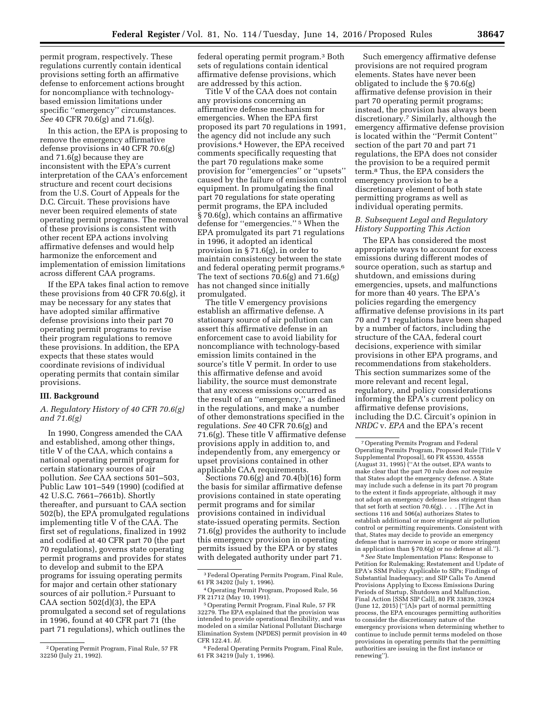permit program, respectively. These regulations currently contain identical provisions setting forth an affirmative defense to enforcement actions brought for noncompliance with technologybased emission limitations under specific ''emergency'' circumstances. *See* 40 CFR 70.6(g) and 71.6(g).

In this action, the EPA is proposing to remove the emergency affirmative defense provisions in 40 CFR 70.6(g) and 71.6(g) because they are inconsistent with the EPA's current interpretation of the CAA's enforcement structure and recent court decisions from the U.S. Court of Appeals for the D.C. Circuit. These provisions have never been required elements of state operating permit programs. The removal of these provisions is consistent with other recent EPA actions involving affirmative defenses and would help harmonize the enforcement and implementation of emission limitations across different CAA programs.

If the EPA takes final action to remove these provisions from 40 CFR 70.6(g), it may be necessary for any states that have adopted similar affirmative defense provisions into their part 70 operating permit programs to revise their program regulations to remove these provisions. In addition, the EPA expects that these states would coordinate revisions of individual operating permits that contain similar provisions.

#### **III. Background**

## *A. Regulatory History of 40 CFR 70.6(g) and 71.6(g)*

In 1990, Congress amended the CAA and established, among other things, title V of the CAA, which contains a national operating permit program for certain stationary sources of air pollution. *See* CAA sections 501–503, Public Law 101–549 (1990) (codified at 42 U.S.C. 7661–7661b). Shortly thereafter, and pursuant to CAA section 502(b), the EPA promulgated regulations implementing title V of the CAA. The first set of regulations, finalized in 1992 and codified at 40 CFR part 70 (the part 70 regulations), governs state operating permit programs and provides for states to develop and submit to the EPA programs for issuing operating permits for major and certain other stationary sources of air pollution.2 Pursuant to CAA section 502(d)(3), the EPA promulgated a second set of regulations in 1996, found at 40 CFR part 71 (the part 71 regulations), which outlines the

federal operating permit program.3 Both sets of regulations contain identical affirmative defense provisions, which are addressed by this action.

Title V of the CAA does not contain any provisions concerning an affirmative defense mechanism for emergencies. When the EPA first proposed its part 70 regulations in 1991, the agency did not include any such provisions.4 However, the EPA received comments specifically requesting that the part 70 regulations make some provision for ''emergencies'' or ''upsets'' caused by the failure of emission control equipment. In promulgating the final part 70 regulations for state operating permit programs, the EPA included § 70.6(g), which contains an affirmative defense for ''emergencies.'' 5 When the EPA promulgated its part 71 regulations in 1996, it adopted an identical provision in § 71.6(g), in order to maintain consistency between the state and federal operating permit programs.6 The text of sections 70.6(g) and 71.6(g) has not changed since initially promulgated.

The title V emergency provisions establish an affirmative defense. A stationary source of air pollution can assert this affirmative defense in an enforcement case to avoid liability for noncompliance with technology-based emission limits contained in the source's title V permit. In order to use this affirmative defense and avoid liability, the source must demonstrate that any excess emissions occurred as the result of an ''emergency,'' as defined in the regulations, and make a number of other demonstrations specified in the regulations. *See* 40 CFR 70.6(g) and 71.6(g). These title V affirmative defense provisions apply in addition to, and independently from, any emergency or upset provisions contained in other applicable CAA requirements.

Sections 70.6(g) and 70.4(b)(16) form the basis for similar affirmative defense provisions contained in state operating permit programs and for similar provisions contained in individual state-issued operating permits. Section 71.6(g) provides the authority to include this emergency provision in operating permits issued by the EPA or by states with delegated authority under part 71.

Such emergency affirmative defense provisions are not required program elements. States have never been obligated to include the § 70.6(g) affirmative defense provision in their part 70 operating permit programs; instead, the provision has always been discretionary.7 Similarly, although the emergency affirmative defense provision is located within the ''Permit Content'' section of the part 70 and part 71 regulations, the EPA does not consider the provision to be a required permit term.8 Thus, the EPA considers the emergency provision to be a discretionary element of both state permitting programs as well as individual operating permits.

## *B. Subsequent Legal and Regulatory History Supporting This Action*

The EPA has considered the most appropriate ways to account for excess emissions during different modes of source operation, such as startup and shutdown, and emissions during emergencies, upsets, and malfunctions for more than 40 years. The EPA's policies regarding the emergency affirmative defense provisions in its part 70 and 71 regulations have been shaped by a number of factors, including the structure of the CAA, federal court decisions, experience with similar provisions in other EPA programs, and recommendations from stakeholders. This section summarizes some of the more relevant and recent legal, regulatory, and policy considerations informing the EPA's current policy on affirmative defense provisions, including the D.C. Circuit's opinion in *NRDC* v. *EPA* and the EPA's recent

8*See* State Implementation Plans: Response to Petition for Rulemaking; Restatement and Update of EPA's SSM Policy Applicable to SIPs; Findings of Substantial Inadequacy; and SIP Calls To Amend Provisions Applying to Excess Emissions During Periods of Startup, Shutdown and Malfunction, Final Action [SSM SIP Call], 80 FR 33839, 33924 (June 12, 2015) (''[A]s part of normal permitting process, the EPA encourages permitting authorities to consider the discretionary nature of the emergency provisions when determining whether to continue to include permit terms modeled on those provisions in operating permits that the permitting authorities are issuing in the first instance or renewing'').

<sup>2</sup>Operating Permit Program, Final Rule, 57 FR 32250 (July 21, 1992).

<sup>3</sup>Federal Operating Permits Program, Final Rule, 61 FR 34202 (July 1, 1996).

<sup>4</sup>Operating Permit Program, Proposed Rule, 56 FR 21712 (May 10, 1991).

<sup>5</sup>Operating Permit Program, Final Rule, 57 FR 32279. The EPA explained that the provision was intended to provide operational flexibility, and was modeled on a similar National Pollutant Discharge Elimination System (NPDES) permit provision in 40 CFR 122.41. *Id.* 

<sup>6</sup>Federal Operating Permits Program, Final Rule, 61 FR 34219 (July 1, 1996).

<sup>7</sup>Operating Permits Program and Federal Operating Permits Program, Proposed Rule [Title V Supplemental Proposal], 60 FR 45530, 45558 (August 31, 1995) (''At the outset, EPA wants to make clear that the part 70 rule does *not* require that States adopt the emergency defense. A State may include such a defense in its part 70 program to the extent it finds appropriate, although it may not adopt an emergency defense less stringent than that set forth at section  $70.6(g)$ . . . . [T]he Act in sections 116 and 506(a) authorizes States to establish additional or more stringent air pollution control or permitting requirements. Consistent with that, States may decide to provide an emergency defense that is narrower in scope or more stringent in application than § 70.6(g) or no defense at all.'').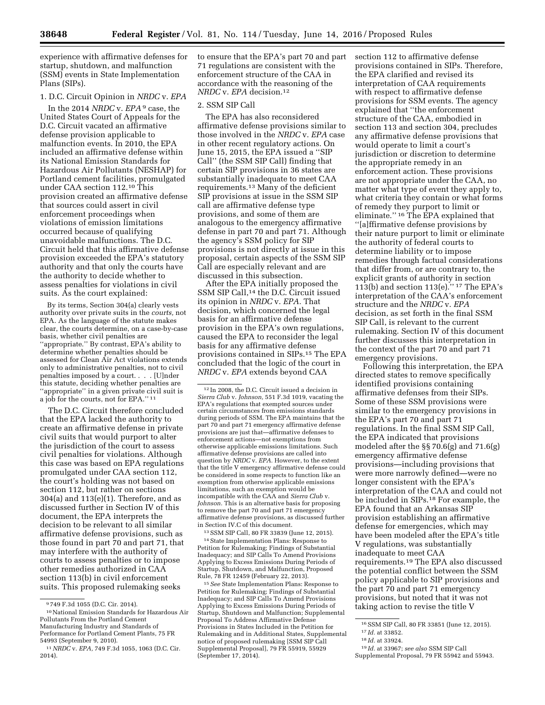experience with affirmative defenses for startup, shutdown, and malfunction (SSM) events in State Implementation Plans (SIPs).

## 1. D.C. Circuit Opinion in *NRDC* v. *EPA*

In the 2014 *NRDC* v. *EPA* 9 case, the United States Court of Appeals for the D.C. Circuit vacated an affirmative defense provision applicable to malfunction events. In 2010, the EPA included an affirmative defense within its National Emission Standards for Hazardous Air Pollutants (NESHAP) for Portland cement facilities, promulgated under CAA section 112.10 This provision created an affirmative defense that sources could assert in civil enforcement proceedings when violations of emission limitations occurred because of qualifying unavoidable malfunctions. The D.C. Circuit held that this affirmative defense provision exceeded the EPA's statutory authority and that only the courts have the authority to decide whether to assess penalties for violations in civil suits. As the court explained:

By its terms, Section 304(a) clearly vests authority over private suits in the *courts,* not EPA. As the language of the statute makes clear, the courts determine, on a case-by-case basis, whether civil penalties are ''appropriate.'' By contrast, EPA's ability to determine whether penalties should be assessed for Clean Air Act violations extends only to administrative penalties, not to civil penalties imposed by a court. . . . [U]nder this statute, deciding whether penalties are ''appropriate'' in a given private civil suit is a job for the courts, not for EPA.'' 11

The D.C. Circuit therefore concluded that the EPA lacked the authority to create an affirmative defense in private civil suits that would purport to alter the jurisdiction of the court to assess civil penalties for violations. Although this case was based on EPA regulations promulgated under CAA section 112, the court's holding was not based on section 112, but rather on sections 304(a) and 113(e)(1). Therefore, and as discussed further in Section IV of this document, the EPA interprets the decision to be relevant to all similar affirmative defense provisions, such as those found in part 70 and part 71, that may interfere with the authority of courts to assess penalties or to impose other remedies authorized in CAA section 113(b) in civil enforcement suits. This proposed rulemaking seeks

to ensure that the EPA's part 70 and part 71 regulations are consistent with the enforcement structure of the CAA in accordance with the reasoning of the *NRDC* v. *EPA* decision.12

#### 2. SSM SIP Call

The EPA has also reconsidered affirmative defense provisions similar to those involved in the *NRDC* v. *EPA* case in other recent regulatory actions. On June 15, 2015, the EPA issued a ''SIP Call'' (the SSM SIP Call) finding that certain SIP provisions in 36 states are substantially inadequate to meet CAA requirements.13 Many of the deficient SIP provisions at issue in the SSM SIP call are affirmative defense type provisions, and some of them are analogous to the emergency affirmative defense in part 70 and part 71. Although the agency's SSM policy for SIP provisions is not directly at issue in this proposal, certain aspects of the SSM SIP Call are especially relevant and are discussed in this subsection.

After the EPA initially proposed the SSM SIP Call,14 the D.C. Circuit issued its opinion in *NRDC* v. *EPA.* That decision, which concerned the legal basis for an affirmative defense provision in the EPA's own regulations, caused the EPA to reconsider the legal basis for any affirmative defense provisions contained in SIPs.15 The EPA concluded that the logic of the court in *NRDC* v. *EPA* extends beyond CAA

12 In 2008, the D.C. Circuit issued a decision in *Sierra Club* v. *Johnson,* 551 F.3d 1019, vacating the EPA's regulations that exempted sources under certain circumstances from emissions standards during periods of SSM. The EPA maintains that the part 70 and part 71 emergency affirmative defense provisions are just that—affirmative defenses to enforcement actions—not exemptions from otherwise applicable emissions limitations. Such affirmative defense provisions are called into question by *NRDC* v. *EPA.* However, to the extent that the title V emergency affirmative defense could be considered in some respects to function like an exemption from otherwise applicable emissions limitations, such an exemption would be incompatible with the CAA and *Sierra Club* v. *Johnson.* This is an alternative basis for proposing to remove the part 70 and part 71 emergency affirmative defense provisions, as discussed further in Section IV.C of this document.

13SSM SIP Call, 80 FR 33839 (June 12, 2015). 14State Implementation Plans: Response to Petition for Rulemaking; Findings of Substantial Inadequacy; and SIP Calls To Amend Provisions Applying to Excess Emissions During Periods of Startup, Shutdown, and Malfunction, Proposed Rule, 78 FR 12459 (February 22, 2013).

15*See* State Implementation Plans: Response to Petition for Rulemaking; Findings of Substantial Inadequacy; and SIP Calls To Amend Provisions Applying to Excess Emissions During Periods of Startup, Shutdown and Malfunction; Supplemental Proposal To Address Affirmative Defense Provisions in States Included in the Petition for Rulemaking and in Additional States, Supplemental notice of proposed rulemaking [SSM SIP Call Supplemental Proposal], 79 FR 55919, 55929 (September 17, 2014).

section 112 to affirmative defense provisions contained in SIPs. Therefore, the EPA clarified and revised its interpretation of CAA requirements with respect to affirmative defense provisions for SSM events. The agency explained that ''the enforcement structure of the CAA, embodied in section 113 and section 304, precludes any affirmative defense provisions that would operate to limit a court's jurisdiction or discretion to determine the appropriate remedy in an enforcement action. These provisions are not appropriate under the CAA, no matter what type of event they apply to, what criteria they contain or what forms of remedy they purport to limit or eliminate.'' 16 The EPA explained that ''[a]ffirmative defense provisions by their nature purport to limit or eliminate the authority of federal courts to determine liability or to impose remedies through factual considerations that differ from, or are contrary to, the explicit grants of authority in section 113(b) and section 113(e).'' 17 The EPA's interpretation of the CAA's enforcement structure and the *NRDC* v. *EPA*  decision, as set forth in the final SSM SIP Call, is relevant to the current rulemaking. Section IV of this document further discusses this interpretation in the context of the part 70 and part 71 emergency provisions.

Following this interpretation, the EPA directed states to remove specifically identified provisions containing affirmative defenses from their SIPs. Some of these SSM provisions were similar to the emergency provisions in the EPA's part 70 and part 71 regulations. In the final SSM SIP Call, the EPA indicated that provisions modeled after the §§ 70.6(g) and 71.6(g) emergency affirmative defense provisions—including provisions that were more narrowly defined—were no longer consistent with the EPA's interpretation of the CAA and could not be included in SIPs.18 For example, the EPA found that an Arkansas SIP provision establishing an affirmative defense for emergencies, which may have been modeled after the EPA's title V regulations, was substantially inadequate to meet CAA requirements.19 The EPA also discussed the potential conflict between the SSM policy applicable to SIP provisions and the part 70 and part 71 emergency provisions, but noted that it was not taking action to revise the title V

<sup>9</sup> 749 F.3d 1055 (D.C. Cir. 2014).

<sup>10</sup>National Emission Standards for Hazardous Air Pollutants From the Portland Cement Manufacturing Industry and Standards of Performance for Portland Cement Plants, 75 FR 54993 (September 9, 2010).

<sup>11</sup>*NRDC* v. *EPA,* 749 F.3d 1055, 1063 (D.C. Cir. 2014).

<sup>16</sup>SSM SIP Call, 80 FR 33851 (June 12, 2015). 17 *Id.* at 33852.

<sup>18</sup> *Id.* at 33924.

<sup>19</sup> *Id.* at 33967; *see also* SSM SIP Call Supplemental Proposal, 79 FR 55942 and 55943.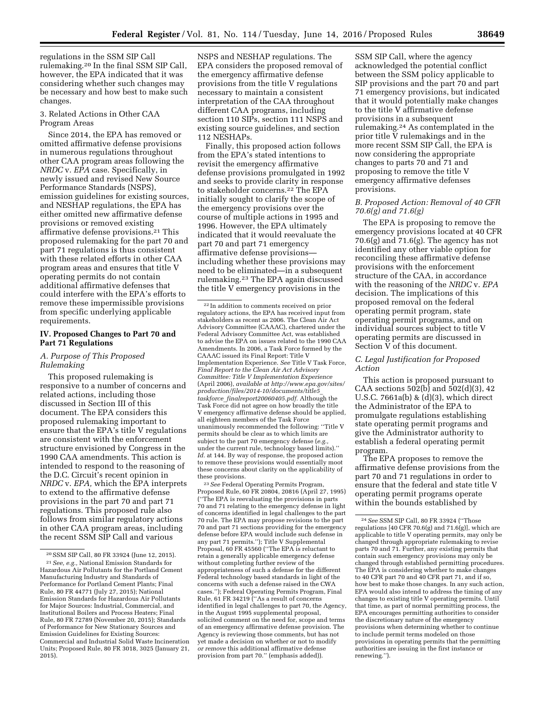regulations in the SSM SIP Call rulemaking.20 In the final SSM SIP Call, however, the EPA indicated that it was considering whether such changes may be necessary and how best to make such changes.

#### 3. Related Actions in Other CAA Program Areas

Since 2014, the EPA has removed or omitted affirmative defense provisions in numerous regulations throughout other CAA program areas following the *NRDC* v. *EPA* case. Specifically, in newly issued and revised New Source Performance Standards (NSPS), emission guidelines for existing sources, and NESHAP regulations, the EPA has either omitted new affirmative defense provisions or removed existing affirmative defense provisions.21 This proposed rulemaking for the part 70 and part 71 regulations is thus consistent with these related efforts in other CAA program areas and ensures that title V operating permits do not contain additional affirmative defenses that could interfere with the EPA's efforts to remove these impermissible provisions from specific underlying applicable requirements.

#### **IV. Proposed Changes to Part 70 and Part 71 Regulations**

#### *A. Purpose of This Proposed Rulemaking*

This proposed rulemaking is responsive to a number of concerns and related actions, including those discussed in Section III of this document. The EPA considers this proposed rulemaking important to ensure that the EPA's title V regulations are consistent with the enforcement structure envisioned by Congress in the 1990 CAA amendments. This action is intended to respond to the reasoning of the D.C. Circuit's recent opinion in *NRDC* v. *EPA,* which the EPA interprets to extend to the affirmative defense provisions in the part 70 and part 71 regulations. This proposed rule also follows from similar regulatory actions in other CAA program areas, including the recent SSM SIP Call and various

NSPS and NESHAP regulations. The EPA considers the proposed removal of the emergency affirmative defense provisions from the title V regulations necessary to maintain a consistent interpretation of the CAA throughout different CAA programs, including section 110 SIPs, section 111 NSPS and existing source guidelines, and section 112 NESHAPs.

Finally, this proposed action follows from the EPA's stated intentions to revisit the emergency affirmative defense provisions promulgated in 1992 and seeks to provide clarity in response to stakeholder concerns.22 The EPA initially sought to clarify the scope of the emergency provisions over the course of multiple actions in 1995 and 1996. However, the EPA ultimately indicated that it would reevaluate the part 70 and part 71 emergency affirmative defense provisions including whether these provisions may need to be eliminated—in a subsequent rulemaking.23 The EPA again discussed the title V emergency provisions in the

23*See* Federal Operating Permits Program, Proposed Rule, 60 FR 20804, 20816 (April 27, 1995) (''The EPA is reevaluating the provisions in parts 70 and 71 relating to the emergency defense in light of concerns identified in legal challenges to the part 70 rule. The EPA may propose revisions to the part 70 and part 71 sections providing for the emergency defense before EPA would include such defense in any part 71 permits.''); Title V Supplemental Proposal, 60 FR 45560 (''The EPA is reluctant to retain a generally applicable emergency defense without completing further review of the appropriateness of such a defense for the different Federal technology based standards in light of the concerns with such a defense raised in the CWA cases.''); Federal Operating Permits Program, Final Rule, 61 FR 34219 (''As a result of concerns identified in legal challenges to part 70, the Agency, in the August 1995 supplemental proposal, solicited comment on the need for, scope and terms of an emergency affirmative defense provision. The Agency is reviewing those comments, but has not yet made a decision on whether or not to modify *or remove* this additional affirmative defense provision from part 70.'' (emphasis added)).

SSM SIP Call, where the agency acknowledged the potential conflict between the SSM policy applicable to SIP provisions and the part 70 and part 71 emergency provisions, but indicated that it would potentially make changes to the title V affirmative defense provisions in a subsequent rulemaking.24 As contemplated in the prior title V rulemakings and in the more recent SSM SIP Call, the EPA is now considering the appropriate changes to parts 70 and 71 and proposing to remove the title V emergency affirmative defenses provisions.

#### *B. Proposed Action: Removal of 40 CFR 70.6(g) and 71.6(g)*

The EPA is proposing to remove the emergency provisions located at 40 CFR  $70.6(g)$  and  $71.6(g)$ . The agency has not identified any other viable option for reconciling these affirmative defense provisions with the enforcement structure of the CAA, in accordance with the reasoning of the *NRDC* v. *EPA*  decision. The implications of this proposed removal on the federal operating permit program, state operating permit programs, and on individual sources subject to title V operating permits are discussed in Section  $\bar{V}$  of this document.

## *C. Legal Justification for Proposed Action*

This action is proposed pursuant to CAA sections 502(b) and 502(d)(3), 42 U.S.C. 7661a(b) & (d)(3), which direct the Administrator of the EPA to promulgate regulations establishing state operating permit programs and give the Administrator authority to establish a federal operating permit program.

The EPA proposes to remove the affirmative defense provisions from the part 70 and 71 regulations in order to ensure that the federal and state title V operating permit programs operate within the bounds established by

<sup>20</sup>SSM SIP Call, 80 FR 33924 (June 12, 2015). 21*See, e.g.,* National Emission Standards for Hazardous Air Pollutants for the Portland Cement Manufacturing Industry and Standards of Performance for Portland Cement Plants; Final Rule, 80 FR 44771 (July 27, 2015); National Emission Standards for Hazardous Air Pollutants for Major Sources: Industrial, Commercial, and Institutional Boilers and Process Heaters; Final Rule, 80 FR 72789 (November 20, 2015); Standards of Performance for New Stationary Sources and Emission Guidelines for Existing Sources: Commercial and Industrial Solid Waste Incineration Units; Proposed Rule, 80 FR 3018, 3025 (January 21, 2015).

<sup>22</sup> In addition to comments received on prior regulatory actions, the EPA has received input from stakeholders as recent as 2006. The Clean Air Act Advisory Committee (CAAAC), chartered under the Federal Advisory Committee Act, was established to advise the EPA on issues related to the 1990 CAA Amendments. In 2006, a Task Force formed by the CAAAC issued its Final Report: Title V Implementation Experience. *See* Title V Task Force, *Final Report to the Clean Air Act Advisory Committee: Title V Implementation Experience*  (April 2006), *available at [http://www.epa.gov/sites/](http://www.epa.gov/sites/production/files/2014-10/documents/title5_taskforce_finalreport20060405.pdf) [production/files/2014-10/documents/title5](http://www.epa.gov/sites/production/files/2014-10/documents/title5_taskforce_finalreport20060405.pdf)*\_ *taskforce*\_*[finalreport20060405.pdf.](http://www.epa.gov/sites/production/files/2014-10/documents/title5_taskforce_finalreport20060405.pdf)* Although the Task Force did not agree on how broadly the title V emergency affirmative defense should be applied, all eighteen members of the Task Force unanimously recommended the following: ''Title V permits should be clear as to which limits are subject to the part 70 emergency defense (*e.g.,*  under the current rule, technology based limits).'' *Id.* at 144. By way of response, the proposed action to remove these provisions would essentially moot these concerns about clarity on the applicability of these provisions.

<sup>24</sup>*See* SSM SIP Call, 80 FR 33924 (''Those regulations [40 CFR 70.6(g) and 71.6(g)], which are applicable to title V operating permits, may only be changed through appropriate rulemaking to revise parts 70 and 71. Further, any existing permits that contain such emergency provisions may only be changed through established permitting procedures. The EPA is considering whether to make changes to 40 CFR part 70 and 40 CFR part 71, and if so, how best to make those changes. In any such action, EPA would also intend to address the timing of any changes to existing title V operating permits. Until that time, as part of normal permitting process, the EPA encourages permitting authorities to consider the discretionary nature of the emergency provisions when determining whether to continue to include permit terms modeled on those provisions in operating permits that the permitting authorities are issuing in the first instance or renewing.'').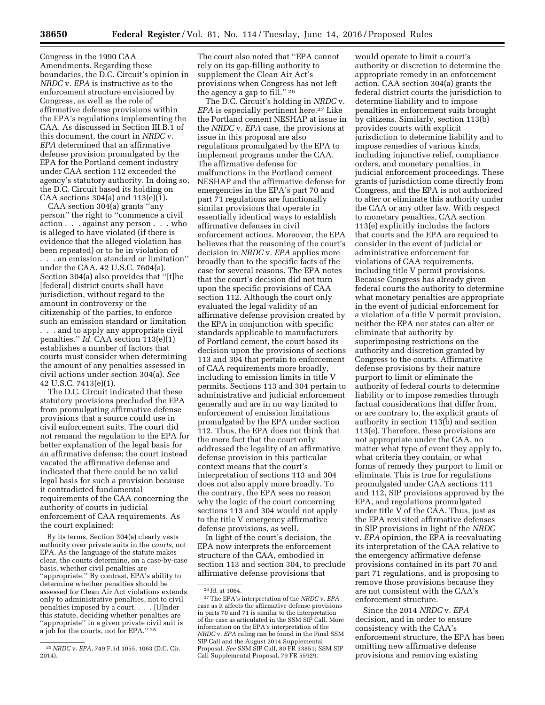Congress in the 1990 CAA Amendments. Regarding these boundaries, the D.C. Circuit's opinion in *NRDC* v. *EPA* is instructive as to the enforcement structure envisioned by Congress, as well as the role of affirmative defense provisions within the EPA's regulations implementing the CAA. As discussed in Section III.B.1 of this document, the court in *NRDC* v. *EPA* determined that an affirmative defense provision promulgated by the EPA for the Portland cement industry under CAA section 112 exceeded the agency's statutory authority. In doing so, the D.C. Circuit based its holding on CAA sections 304(a) and 113(e)(1).

CAA section 304(a) grants ''any person'' the right to ''commence a civil action . . . against any person . . . who is alleged to have violated (if there is evidence that the alleged violation has been repeated) or to be in violation of . . . an emission standard or limitation'' under the CAA. 42 U.S.C. 7604(a). Section 304(a) also provides that ''[t]he [federal] district courts shall have jurisdiction, without regard to the amount in controversy or the citizenship of the parties, to enforce such an emission standard or limitation . . . and to apply any appropriate civil penalties.'' *Id.* CAA section 113(e)(1) establishes a number of factors that courts must consider when determining the amount of any penalties assessed in civil actions under section 304(a). *See*  42 U.S.C. 7413(e)(1).

The D.C. Circuit indicated that these statutory provisions precluded the EPA from promulgating affirmative defense provisions that a source could use in civil enforcement suits. The court did not remand the regulation to the EPA for better explanation of the legal basis for an affirmative defense; the court instead vacated the affirmative defense and indicated that there could be no valid legal basis for such a provision because it contradicted fundamental requirements of the CAA concerning the authority of courts in judicial enforcement of CAA requirements. As the court explained:

By its terms, Section 304(a) clearly vests authority over private suits in the *courts,* not EPA. As the language of the statute makes clear, the courts determine, on a case-by-case basis, whether civil penalties are ''appropriate.'' By contrast, EPA's ability to determine whether penalties should be assessed for Clean Air Act violations extends only to administrative penalties, not to civil penalties imposed by a court. . . . [U]nder this statute, deciding whether penalties are ''appropriate'' in a given private civil suit is a job for the courts, not for EPA.'' 25

The court also noted that ''EPA cannot rely on its gap-filling authority to supplement the Clean Air Act's provisions when Congress has not left the agency a gap to fill."<sup>26</sup>

The D.C. Circuit's holding in *NRDC* v. *EPA* is especially pertinent here.<sup>27</sup> Like the Portland cement NESHAP at issue in the *NRDC* v. *EPA* case, the provisions at issue in this proposal are also regulations promulgated by the EPA to implement programs under the CAA. The affirmative defense for malfunctions in the Portland cement NESHAP and the affirmative defense for emergencies in the EPA's part 70 and part 71 regulations are functionally similar provisions that operate in essentially identical ways to establish affirmative defenses in civil enforcement actions. Moreover, the EPA believes that the reasoning of the court's decision in *NRDC* v. *EPA* applies more broadly than to the specific facts of the case for several reasons. The EPA notes that the court's decision did not turn upon the specific provisions of CAA section 112. Although the court only evaluated the legal validity of an affirmative defense provision created by the EPA in conjunction with specific standards applicable to manufacturers of Portland cement, the court based its decision upon the provisions of sections 113 and 304 that pertain to enforcement of CAA requirements more broadly, including to emission limits in title V permits. Sections 113 and 304 pertain to administrative and judicial enforcement generally and are in no way limited to enforcement of emission limitations promulgated by the EPA under section 112. Thus, the EPA does not think that the mere fact that the court only addressed the legality of an affirmative defense provision in this particular context means that the court's interpretation of sections 113 and 304 does not also apply more broadly. To the contrary, the EPA sees no reason why the logic of the court concerning sections 113 and 304 would not apply to the title V emergency affirmative defense provisions, as well.

In light of the court's decision, the EPA now interprets the enforcement structure of the CAA, embodied in section 113 and section 304, to preclude affirmative defense provisions that

would operate to limit a court's authority or discretion to determine the appropriate remedy in an enforcement action. CAA section 304(a) grants the federal district courts the jurisdiction to determine liability and to impose penalties in enforcement suits brought by citizens. Similarly, section 113(b) provides courts with explicit jurisdiction to determine liability and to impose remedies of various kinds, including injunctive relief, compliance orders, and monetary penalties, in judicial enforcement proceedings. These grants of jurisdiction come directly from Congress, and the EPA is not authorized to alter or eliminate this authority under the CAA or any other law. With respect to monetary penalties, CAA section 113(e) explicitly includes the factors that courts and the EPA are required to consider in the event of judicial or administrative enforcement for violations of CAA requirements, including title V permit provisions. Because Congress has already given federal courts the authority to determine what monetary penalties are appropriate in the event of judicial enforcement for a violation of a title V permit provision, neither the EPA nor states can alter or eliminate that authority by superimposing restrictions on the authority and discretion granted by Congress to the courts. Affirmative defense provisions by their nature purport to limit or eliminate the authority of federal courts to determine liability or to impose remedies through factual considerations that differ from, or are contrary to, the explicit grants of authority in section 113(b) and section 113(e). Therefore, these provisions are not appropriate under the CAA, no matter what type of event they apply to, what criteria they contain, or what forms of remedy they purport to limit or eliminate. This is true for regulations promulgated under CAA sections 111 and 112, SIP provisions approved by the EPA, and regulations promulgated under title V of the CAA. Thus, just as the EPA revisited affirmative defenses in SIP provisions in light of the *NRDC*  v. *EPA* opinion, the EPA is reevaluating its interpretation of the CAA relative to the emergency affirmative defense provisions contained in its part 70 and part 71 regulations, and is proposing to remove those provisions because they are not consistent with the CAA's enforcement structure.

Since the 2014 *NRDC* v. *EPA*  decision, and in order to ensure consistency with the CAA's enforcement structure, the EPA has been omitting new affirmative defense provisions and removing existing

<sup>25</sup>*NRDC* v. *EPA,* 749 F.3d 1055, 1063 (D.C. Cir. 2014).

<sup>26</sup> *Id.* at 1064.

<sup>27</sup>The EPA's interpretation of the *NRDC* v. *EPA*  case as it affects the affirmative defense provisions in parts 70 and 71 is similar to the interpretation of the case as articulated in the SSM SIP Call. More information on the EPA's interpretation of the *NRDC* v. *EPA* ruling can be found in the Final SSM SIP Call and the August 2014 Supplemental Proposal. *See* SSM SIP Call, 80 FR 33851; SSM SIP Call Supplemental Proposal, 79 FR 55929.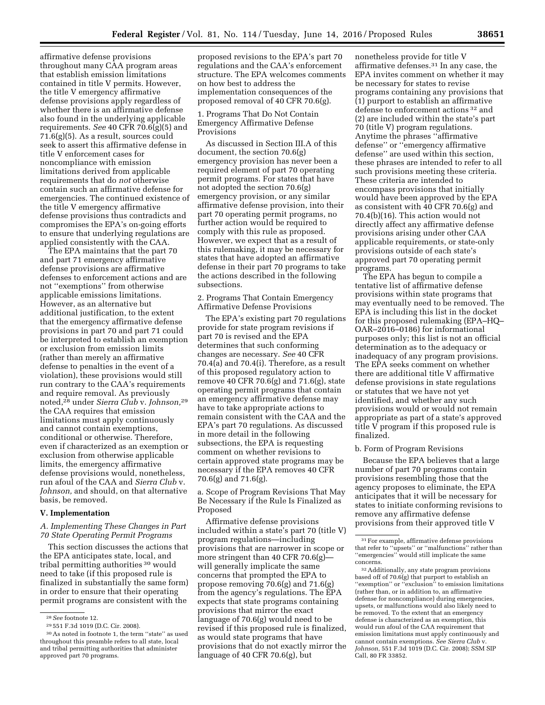affirmative defense provisions throughout many CAA program areas that establish emission limitations contained in title V permits. However, the title V emergency affirmative defense provisions apply regardless of whether there is an affirmative defense also found in the underlying applicable requirements. *See* 40 CFR 70.6(g)(5) and 71.6(g)(5). As a result, sources could seek to assert this affirmative defense in title V enforcement cases for noncompliance with emission limitations derived from applicable requirements that do *not* otherwise contain such an affirmative defense for emergencies. The continued existence of the title V emergency affirmative defense provisions thus contradicts and compromises the EPA's on-going efforts to ensure that underlying regulations are applied consistently with the CAA.

The EPA maintains that the part 70 and part 71 emergency affirmative defense provisions are affirmative defenses to enforcement actions and are not ''exemptions'' from otherwise applicable emissions limitations. However, as an alternative but additional justification, to the extent that the emergency affirmative defense provisions in part 70 and part 71 could be interpreted to establish an exemption or exclusion from emission limits (rather than merely an affirmative defense to penalties in the event of a violation), these provisions would still run contrary to the CAA's requirements and require removal. As previously noted,28 under *Sierra Club* v. *Johnson,*29 the CAA requires that emission limitations must apply continuously and cannot contain exemptions, conditional or otherwise. Therefore, even if characterized as an exemption or exclusion from otherwise applicable limits, the emergency affirmative defense provisions would, nonetheless, run afoul of the CAA and *Sierra Club* v. *Johnson,* and should, on that alternative basis, be removed.

#### **V. Implementation**

## *A. Implementing These Changes in Part 70 State Operating Permit Programs*

This section discusses the actions that the EPA anticipates state, local, and tribal permitting authorities 30 would need to take (if this proposed rule is finalized in substantially the same form) in order to ensure that their operating permit programs are consistent with the

proposed revisions to the EPA's part 70 regulations and the CAA's enforcement structure. The EPA welcomes comments on how best to address the implementation consequences of the proposed removal of 40 CFR 70.6(g).

#### 1. Programs That Do Not Contain Emergency Affirmative Defense Provisions

As discussed in Section III.A of this document, the section 70.6(g) emergency provision has never been a required element of part 70 operating permit programs. For states that have not adopted the section 70.6(g) emergency provision, or any similar affirmative defense provision, into their part 70 operating permit programs, no further action would be required to comply with this rule as proposed. However, we expect that as a result of this rulemaking, it may be necessary for states that have adopted an affirmative defense in their part 70 programs to take the actions described in the following subsections.

2. Programs That Contain Emergency Affirmative Defense Provisions

The EPA's existing part 70 regulations provide for state program revisions if part 70 is revised and the EPA determines that such conforming changes are necessary. *See* 40 CFR 70.4(a) and 70.4(i). Therefore, as a result of this proposed regulatory action to remove 40 CFR 70.6(g) and 71.6(g), state operating permit programs that contain an emergency affirmative defense may have to take appropriate actions to remain consistent with the CAA and the EPA's part 70 regulations. As discussed in more detail in the following subsections, the EPA is requesting comment on whether revisions to certain approved state programs may be necessary if the EPA removes 40 CFR 70.6(g) and 71.6(g).

a. Scope of Program Revisions That May Be Necessary if the Rule Is Finalized as Proposed

Affirmative defense provisions included within a state's part 70 (title V) program regulations—including provisions that are narrower in scope or more stringent than 40 CFR 70.6 $(g)$ – will generally implicate the same concerns that prompted the EPA to propose removing 70.6(g) and 71.6(g) from the agency's regulations. The EPA expects that state programs containing provisions that mirror the exact language of 70.6(g) would need to be revised if this proposed rule is finalized, as would state programs that have provisions that do not exactly mirror the language of 40 CFR 70.6(g), but

nonetheless provide for title V affirmative defenses.31 In any case, the EPA invites comment on whether it may be necessary for states to revise programs containing any provisions that (1) purport to establish an affirmative defense to enforcement actions 32 and (2) are included within the state's part 70 (title V) program regulations. Anytime the phrases ''affirmative defense'' or ''emergency affirmative defense'' are used within this section, these phrases are intended to refer to all such provisions meeting these criteria. These criteria are intended to encompass provisions that initially would have been approved by the EPA as consistent with 40 CFR 70.6(g) and 70.4(b)(16). This action would not directly affect any affirmative defense provisions arising under other CAA applicable requirements, or state-only provisions outside of each state's approved part 70 operating permit programs.

The EPA has begun to compile a tentative list of affirmative defense provisions within state programs that may eventually need to be removed. The EPA is including this list in the docket for this proposed rulemaking (EPA–HQ– OAR–2016–0186) for informational purposes only; this list is not an official determination as to the adequacy or inadequacy of any program provisions. The EPA seeks comment on whether there are additional title V affirmative defense provisions in state regulations or statutes that we have not yet identified, and whether any such provisions would or would not remain appropriate as part of a state's approved title V program if this proposed rule is finalized.

#### b. Form of Program Revisions

Because the EPA believes that a large number of part 70 programs contain provisions resembling those that the agency proposes to eliminate, the EPA anticipates that it will be necessary for states to initiate conforming revisions to remove any affirmative defense provisions from their approved title V

<sup>28</sup>*See* footnote 12.

<sup>29</sup> 551 F.3d 1019 (D.C. Cir. 2008).

<sup>30</sup>As noted in footnote 1, the term ''state'' as used throughout this preamble refers to all state, local and tribal permitting authorities that administer approved part 70 programs.

<sup>31</sup>For example, affirmative defense provisions that refer to ''upsets'' or ''malfunctions'' rather than ''emergencies'' would still implicate the same concerns.

<sup>32</sup>Additionally, any state program provisions based off of 70.6(g) that purport to establish an "exemption" or "exclusion" to emission limitations (rather than, or in addition to, an affirmative defense for noncompliance) during emergencies, upsets, or malfunctions would also likely need to be removed. To the extent that an emergency defense is characterized as an exemption, this would run afoul of the CAA requirement that emission limitations must apply continuously and cannot contain exemptions. *See Sierra Club* v. *Johnson,* 551 F.3d 1019 (D.C. Cir. 2008); SSM SIP Call, 80 FR 33852.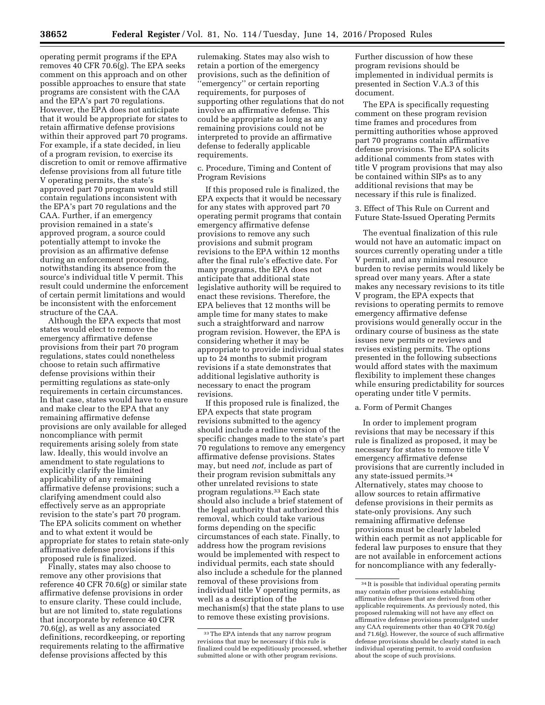operating permit programs if the EPA removes 40 CFR 70.6(g). The EPA seeks comment on this approach and on other possible approaches to ensure that state programs are consistent with the CAA and the EPA's part 70 regulations. However, the EPA does not anticipate that it would be appropriate for states to retain affirmative defense provisions within their approved part 70 programs. For example, if a state decided, in lieu of a program revision, to exercise its discretion to omit or remove affirmative defense provisions from all future title V operating permits, the state's approved part 70 program would still contain regulations inconsistent with the EPA's part 70 regulations and the CAA. Further, if an emergency provision remained in a state's approved program, a source could potentially attempt to invoke the provision as an affirmative defense during an enforcement proceeding, notwithstanding its absence from the source's individual title V permit. This result could undermine the enforcement of certain permit limitations and would be inconsistent with the enforcement structure of the CAA.

Although the EPA expects that most states would elect to remove the emergency affirmative defense provisions from their part 70 program regulations, states could nonetheless choose to retain such affirmative defense provisions within their permitting regulations as state-only requirements in certain circumstances. In that case, states would have to ensure and make clear to the EPA that any remaining affirmative defense provisions are only available for alleged noncompliance with permit requirements arising solely from state law. Ideally, this would involve an amendment to state regulations to explicitly clarify the limited applicability of any remaining affirmative defense provisions; such a clarifying amendment could also effectively serve as an appropriate revision to the state's part 70 program. The EPA solicits comment on whether and to what extent it would be appropriate for states to retain state-only affirmative defense provisions if this proposed rule is finalized.

Finally, states may also choose to remove any other provisions that reference 40 CFR 70.6(g) or similar state affirmative defense provisions in order to ensure clarity. These could include, but are not limited to, state regulations that incorporate by reference 40 CFR 70.6(g), as well as any associated definitions, recordkeeping, or reporting requirements relating to the affirmative defense provisions affected by this

rulemaking. States may also wish to retain a portion of the emergency provisions, such as the definition of 'emergency" or certain reporting requirements, for purposes of supporting other regulations that do not involve an affirmative defense. This could be appropriate as long as any remaining provisions could not be interpreted to provide an affirmative defense to federally applicable requirements.

c. Procedure, Timing and Content of Program Revisions

If this proposed rule is finalized, the EPA expects that it would be necessary for any states with approved part 70 operating permit programs that contain emergency affirmative defense provisions to remove any such provisions and submit program revisions to the EPA within 12 months after the final rule's effective date. For many programs, the EPA does not anticipate that additional state legislative authority will be required to enact these revisions. Therefore, the EPA believes that 12 months will be ample time for many states to make such a straightforward and narrow program revision. However, the EPA is considering whether it may be appropriate to provide individual states up to 24 months to submit program revisions if a state demonstrates that additional legislative authority is necessary to enact the program revisions.

If this proposed rule is finalized, the EPA expects that state program revisions submitted to the agency should include a redline version of the specific changes made to the state's part 70 regulations to remove any emergency affirmative defense provisions. States may, but need *not,* include as part of their program revision submittals any other unrelated revisions to state program regulations.33 Each state should also include a brief statement of the legal authority that authorized this removal, which could take various forms depending on the specific circumstances of each state. Finally, to address how the program revisions would be implemented with respect to individual permits, each state should also include a schedule for the planned removal of these provisions from individual title  $\bar{V}$  operating permits, as well as a description of the mechanism(s) that the state plans to use to remove these existing provisions.

Further discussion of how these program revisions should be implemented in individual permits is presented in Section V.A.3 of this document.

The EPA is specifically requesting comment on these program revision time frames and procedures from permitting authorities whose approved part 70 programs contain affirmative defense provisions. The EPA solicits additional comments from states with title V program provisions that may also be contained within SIPs as to any additional revisions that may be necessary if this rule is finalized.

3. Effect of This Rule on Current and Future State-Issued Operating Permits

The eventual finalization of this rule would not have an automatic impact on sources currently operating under a title V permit, and any minimal resource burden to revise permits would likely be spread over many years. After a state makes any necessary revisions to its title V program, the EPA expects that revisions to operating permits to remove emergency affirmative defense provisions would generally occur in the ordinary course of business as the state issues new permits or reviews and revises existing permits. The options presented in the following subsections would afford states with the maximum flexibility to implement these changes while ensuring predictability for sources operating under title V permits.

#### a. Form of Permit Changes

In order to implement program revisions that may be necessary if this rule is finalized as proposed, it may be necessary for states to remove title V emergency affirmative defense provisions that are currently included in any state-issued permits.34 Alternatively, states may choose to allow sources to retain affirmative defense provisions in their permits as state-only provisions. Any such remaining affirmative defense provisions must be clearly labeled within each permit as not applicable for federal law purposes to ensure that they are not available in enforcement actions for noncompliance with any federally-

<sup>33</sup>The EPA intends that any narrow program revisions that may be necessary if this rule is finalized could be expeditiously processed, whether submitted alone or with other program revisions.

<sup>34</sup> It is possible that individual operating permits may contain other provisions establishing affirmative defenses that are derived from other applicable requirements. As previously noted, this proposed rulemaking will not have any effect on affirmative defense provisions promulgated under any CAA requirements other than 40 CFR 70.6(g) and 71.6(g). However, the source of such affirmative defense provisions should be clearly stated in each individual operating permit, to avoid confusion about the scope of such provisions.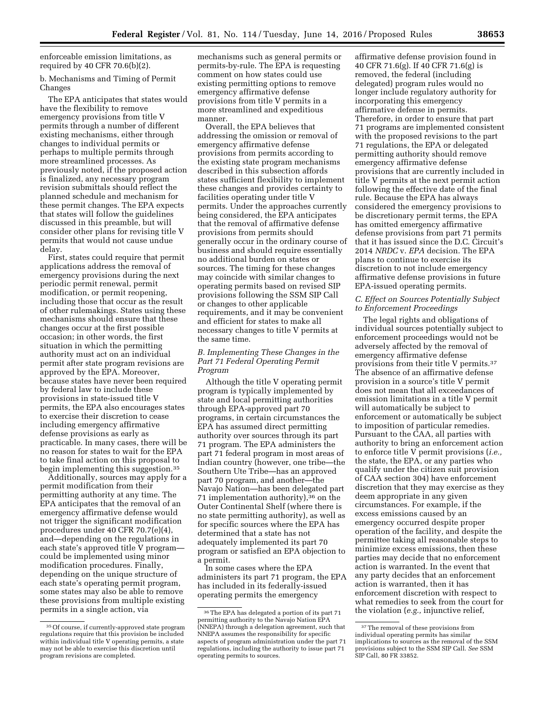enforceable emission limitations, as required by 40 CFR 70.6(b)(2).

b. Mechanisms and Timing of Permit Changes

The EPA anticipates that states would have the flexibility to remove emergency provisions from title V permits through a number of different existing mechanisms, either through changes to individual permits or perhaps to multiple permits through more streamlined processes. As previously noted, if the proposed action is finalized, any necessary program revision submittals should reflect the planned schedule and mechanism for these permit changes. The EPA expects that states will follow the guidelines discussed in this preamble, but will consider other plans for revising title V permits that would not cause undue delay.

First, states could require that permit applications address the removal of emergency provisions during the next periodic permit renewal, permit modification, or permit reopening, including those that occur as the result of other rulemakings. States using these mechanisms should ensure that these changes occur at the first possible occasion; in other words, the first situation in which the permitting authority must act on an individual permit after state program revisions are approved by the EPA. Moreover, because states have never been required by federal law to include these provisions in state-issued title V permits, the EPA also encourages states to exercise their discretion to cease including emergency affirmative defense provisions as early as practicable. In many cases, there will be no reason for states to wait for the EPA to take final action on this proposal to begin implementing this suggestion.35

Additionally, sources may apply for a permit modification from their permitting authority at any time. The EPA anticipates that the removal of an emergency affirmative defense would not trigger the significant modification procedures under 40 CFR 70.7(e)(4), and—depending on the regulations in each state's approved title V program could be implemented using minor modification procedures. Finally, depending on the unique structure of each state's operating permit program, some states may also be able to remove these provisions from multiple existing permits in a single action, via

mechanisms such as general permits or permits-by-rule. The EPA is requesting comment on how states could use existing permitting options to remove emergency affirmative defense provisions from title V permits in a more streamlined and expeditious manner.

Overall, the EPA believes that addressing the omission or removal of emergency affirmative defense provisions from permits according to the existing state program mechanisms described in this subsection affords states sufficient flexibility to implement these changes and provides certainty to facilities operating under title V permits. Under the approaches currently being considered, the EPA anticipates that the removal of affirmative defense provisions from permits should generally occur in the ordinary course of business and should require essentially no additional burden on states or sources. The timing for these changes may coincide with similar changes to operating permits based on revised SIP provisions following the SSM SIP Call or changes to other applicable requirements, and it may be convenient and efficient for states to make all necessary changes to title V permits at the same time.

## *B. Implementing These Changes in the Part 71 Federal Operating Permit Program*

Although the title V operating permit program is typically implemented by state and local permitting authorities through EPA-approved part 70 programs, in certain circumstances the EPA has assumed direct permitting authority over sources through its part 71 program. The EPA administers the part 71 federal program in most areas of Indian country (however, one tribe—the Southern Ute Tribe—has an approved part 70 program, and another—the Navajo Nation—has been delegated part 71 implementation authority),36 on the Outer Continental Shelf (where there is no state permitting authority), as well as for specific sources where the EPA has determined that a state has not adequately implemented its part 70 program or satisfied an EPA objection to a permit.

In some cases where the EPA administers its part 71 program, the EPA has included in its federally-issued operating permits the emergency

affirmative defense provision found in 40 CFR 71.6(g). If 40 CFR 71.6(g) is removed, the federal (including delegated) program rules would no longer include regulatory authority for incorporating this emergency affirmative defense in permits. Therefore, in order to ensure that part 71 programs are implemented consistent with the proposed revisions to the part 71 regulations, the EPA or delegated permitting authority should remove emergency affirmative defense provisions that are currently included in title V permits at the next permit action following the effective date of the final rule. Because the EPA has always considered the emergency provisions to be discretionary permit terms, the EPA has omitted emergency affirmative defense provisions from part 71 permits that it has issued since the D.C. Circuit's 2014 *NRDC* v. *EPA* decision. The EPA plans to continue to exercise its discretion to not include emergency affirmative defense provisions in future EPA-issued operating permits.

#### *C. Effect on Sources Potentially Subject to Enforcement Proceedings*

The legal rights and obligations of individual sources potentially subject to enforcement proceedings would not be adversely affected by the removal of emergency affirmative defense provisions from their title V permits.37 The absence of an affirmative defense provision in a source's title V permit does not mean that all exceedances of emission limitations in a title V permit will automatically be subject to enforcement or automatically be subject to imposition of particular remedies. Pursuant to the CAA, all parties with authority to bring an enforcement action to enforce title V permit provisions (*i.e.,*  the state, the EPA, or any parties who qualify under the citizen suit provision of CAA section 304) have enforcement discretion that they may exercise as they deem appropriate in any given circumstances. For example, if the excess emissions caused by an emergency occurred despite proper operation of the facility, and despite the permittee taking all reasonable steps to minimize excess emissions, then these parties may decide that no enforcement action is warranted. In the event that any party decides that an enforcement action is warranted, then it has enforcement discretion with respect to what remedies to seek from the court for the violation (*e.g.,* injunctive relief,

<sup>35</sup>Of course, if currently-approved state program regulations require that this provision be included within individual title V operating permits, a state may not be able to exercise this discretion until program revisions are completed.

<sup>36</sup>The EPA has delegated a portion of its part 71 permitting authority to the Navajo Nation EPA (NNEPA) through a delegation agreement, such that NNEPA assumes the responsibility for specific aspects of program administration under the part 71 regulations, including the authority to issue part 71 operating permits to sources.

<sup>&</sup>lt;sup>37</sup>The removal of these provisions from individual operating permits has similar implications to sources as the removal of the SSM provisions subject to the SSM SIP Call. *See* SSM  $SIP$  Call, 80 FR $\overline{3}3852$ .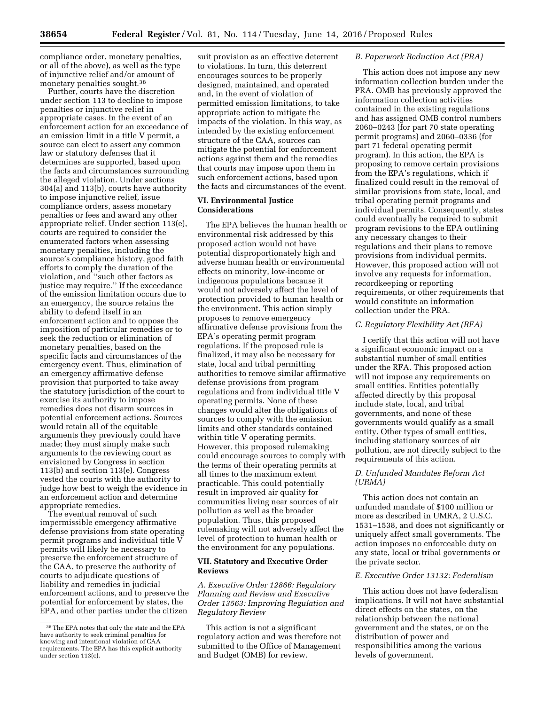compliance order, monetary penalties, or all of the above), as well as the type of injunctive relief and/or amount of monetary penalties sought.38

Further, courts have the discretion under section 113 to decline to impose penalties or injunctive relief in appropriate cases. In the event of an enforcement action for an exceedance of an emission limit in a title V permit, a source can elect to assert any common law or statutory defenses that it determines are supported, based upon the facts and circumstances surrounding the alleged violation. Under sections 304(a) and 113(b), courts have authority to impose injunctive relief, issue compliance orders, assess monetary penalties or fees and award any other appropriate relief. Under section 113(e), courts are required to consider the enumerated factors when assessing monetary penalties, including the source's compliance history, good faith efforts to comply the duration of the violation, and ''such other factors as justice may require.'' If the exceedance of the emission limitation occurs due to an emergency, the source retains the ability to defend itself in an enforcement action and to oppose the imposition of particular remedies or to seek the reduction or elimination of monetary penalties, based on the specific facts and circumstances of the emergency event. Thus, elimination of an emergency affirmative defense provision that purported to take away the statutory jurisdiction of the court to exercise its authority to impose remedies does not disarm sources in potential enforcement actions. Sources would retain all of the equitable arguments they previously could have made; they must simply make such arguments to the reviewing court as envisioned by Congress in section 113(b) and section 113(e). Congress vested the courts with the authority to judge how best to weigh the evidence in an enforcement action and determine appropriate remedies.

The eventual removal of such impermissible emergency affirmative defense provisions from state operating permit programs and individual title V permits will likely be necessary to preserve the enforcement structure of the CAA, to preserve the authority of courts to adjudicate questions of liability and remedies in judicial enforcement actions, and to preserve the potential for enforcement by states, the EPA, and other parties under the citizen

suit provision as an effective deterrent to violations. In turn, this deterrent encourages sources to be properly designed, maintained, and operated and, in the event of violation of permitted emission limitations, to take appropriate action to mitigate the impacts of the violation. In this way, as intended by the existing enforcement structure of the CAA, sources can mitigate the potential for enforcement actions against them and the remedies that courts may impose upon them in such enforcement actions, based upon the facts and circumstances of the event.

## **VI. Environmental Justice Considerations**

The EPA believes the human health or environmental risk addressed by this proposed action would not have potential disproportionately high and adverse human health or environmental effects on minority, low-income or indigenous populations because it would not adversely affect the level of protection provided to human health or the environment. This action simply proposes to remove emergency affirmative defense provisions from the EPA's operating permit program regulations. If the proposed rule is finalized, it may also be necessary for state, local and tribal permitting authorities to remove similar affirmative defense provisions from program regulations and from individual title V operating permits. None of these changes would alter the obligations of sources to comply with the emission limits and other standards contained within title V operating permits. However, this proposed rulemaking could encourage sources to comply with the terms of their operating permits at all times to the maximum extent practicable. This could potentially result in improved air quality for communities living near sources of air pollution as well as the broader population. Thus, this proposed rulemaking will not adversely affect the level of protection to human health or the environment for any populations.

## **VII. Statutory and Executive Order Reviews**

## *A. Executive Order 12866: Regulatory Planning and Review and Executive Order 13563: Improving Regulation and Regulatory Review*

This action is not a significant regulatory action and was therefore not submitted to the Office of Management and Budget (OMB) for review.

#### *B. Paperwork Reduction Act (PRA)*

This action does not impose any new information collection burden under the PRA. OMB has previously approved the information collection activities contained in the existing regulations and has assigned OMB control numbers 2060–0243 (for part 70 state operating permit programs) and 2060–0336 (for part 71 federal operating permit program). In this action, the EPA is proposing to remove certain provisions from the EPA's regulations, which if finalized could result in the removal of similar provisions from state, local, and tribal operating permit programs and individual permits. Consequently, states could eventually be required to submit program revisions to the EPA outlining any necessary changes to their regulations and their plans to remove provisions from individual permits. However, this proposed action will not involve any requests for information, recordkeeping or reporting requirements, or other requirements that would constitute an information collection under the PRA.

#### *C. Regulatory Flexibility Act (RFA)*

I certify that this action will not have a significant economic impact on a substantial number of small entities under the RFA. This proposed action will not impose any requirements on small entities. Entities potentially affected directly by this proposal include state, local, and tribal governments, and none of these governments would qualify as a small entity. Other types of small entities, including stationary sources of air pollution, are not directly subject to the requirements of this action.

#### *D. Unfunded Mandates Reform Act (URMA)*

This action does not contain an unfunded mandate of \$100 million or more as described in UMRA, 2 U.S.C. 1531–1538, and does not significantly or uniquely affect small governments. The action imposes no enforceable duty on any state, local or tribal governments or the private sector.

#### *E. Executive Order 13132: Federalism*

This action does not have federalism implications. It will not have substantial direct effects on the states, on the relationship between the national government and the states, or on the distribution of power and responsibilities among the various levels of government.

<sup>38</sup>The EPA notes that only the state and the EPA have authority to seek criminal penalties for knowing and intentional violation of CAA requirements. The EPA has this explicit authority under section 113(c).